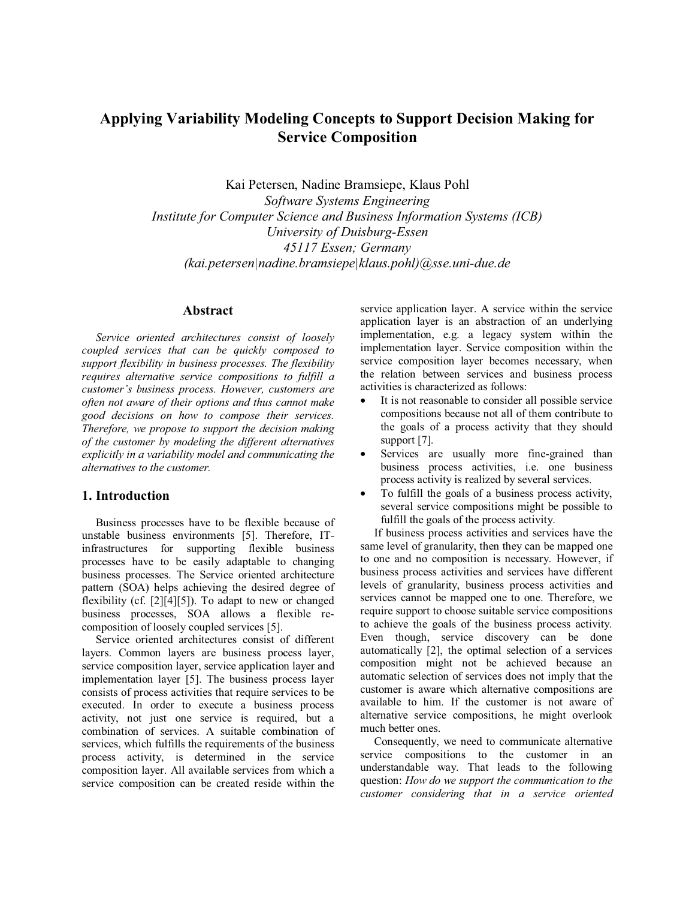# **Applying Variability Modeling Concepts to Support Decision Making for Service Composition**

Kai Petersen, Nadine Bramsiepe, Klaus Pohl *Software Systems Engineering Institute for Computer Science and Business Information Systems (ICB) University of Duisburg-Essen 45117 Essen; Germany (kai.petersen|nadine.bramsiepe|klaus.pohl)@sse.uni-due.de* 

#### **Abstract**

*Service oriented architectures consist of loosely coupled services that can be quickly composed to support flexibility in business processes. The flexibility requires alternative service compositions to fulfill a customer's business process. However, customers are often not aware of their options and thus cannot make good decisions on how to compose their services. Therefore, we propose to support the decision making of the customer by modeling the different alternatives explicitly in a variability model and communicating the alternatives to the customer.* 

#### **1. Introduction**

Business processes have to be flexible because of unstable business environments [5]. Therefore, ITinfrastructures for supporting flexible business processes have to be easily adaptable to changing business processes. The Service oriented architecture pattern (SOA) helps achieving the desired degree of flexibility (cf. [2][4][5]). To adapt to new or changed business processes, SOA allows a flexible recomposition of loosely coupled services [5].

Service oriented architectures consist of different layers. Common layers are business process layer, service composition layer, service application layer and implementation layer [5]. The business process layer consists of process activities that require services to be executed. In order to execute a business process activity, not just one service is required, but a combination of services. A suitable combination of services, which fulfills the requirements of the business process activity, is determined in the service composition layer. All available services from which a service composition can be created reside within the

service application layer. A service within the service application layer is an abstraction of an underlying implementation, e.g. a legacy system within the implementation layer. Service composition within the service composition layer becomes necessary, when the relation between services and business process activities is characterized as follows:

- It is not reasonable to consider all possible service compositions because not all of them contribute to the goals of a process activity that they should support [7].
- Services are usually more fine-grained than business process activities, i.e. one business process activity is realized by several services.
- To fulfill the goals of a business process activity, several service compositions might be possible to fulfill the goals of the process activity.

If business process activities and services have the same level of granularity, then they can be mapped one to one and no composition is necessary. However, if business process activities and services have different levels of granularity, business process activities and services cannot be mapped one to one. Therefore, we require support to choose suitable service compositions to achieve the goals of the business process activity. Even though, service discovery can be done automatically [2], the optimal selection of a services composition might not be achieved because an automatic selection of services does not imply that the customer is aware which alternative compositions are available to him. If the customer is not aware of alternative service compositions, he might overlook much better ones.

Consequently, we need to communicate alternative service compositions to the customer in an understandable way. That leads to the following question: *How do we support the communication to the customer considering that in a service oriented*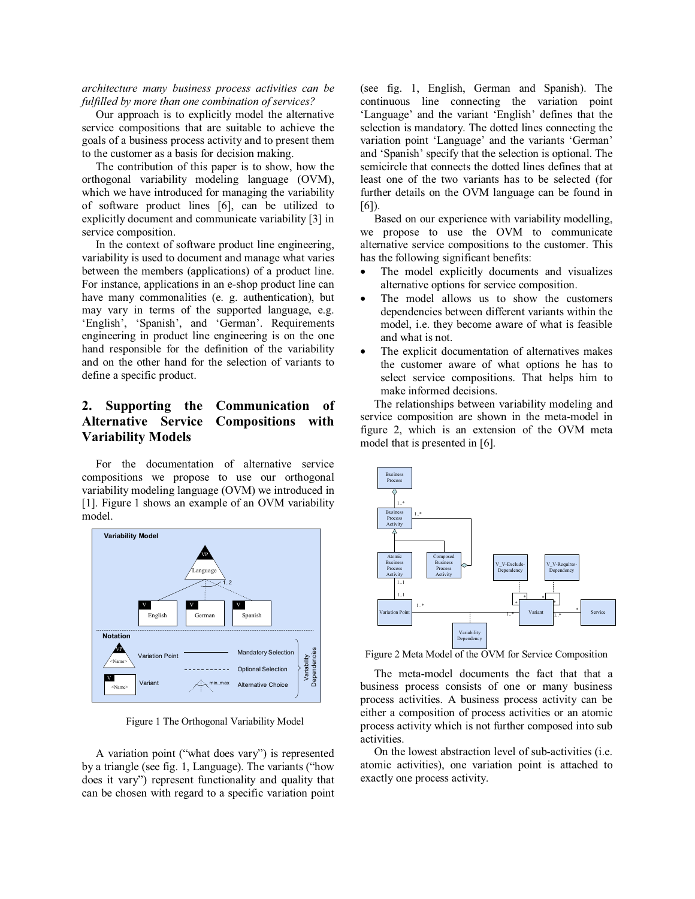*architecture many business process activities can be fulfilled by more than one combination of services?* 

Our approach is to explicitly model the alternative service compositions that are suitable to achieve the goals of a business process activity and to present them to the customer as a basis for decision making.

The contribution of this paper is to show, how the orthogonal variability modeling language (OVM), which we have introduced for managing the variability of software product lines [6], can be utilized to explicitly document and communicate variability [3] in service composition.

In the context of software product line engineering, variability is used to document and manage what varies between the members (applications) of a product line. For instance, applications in an e-shop product line can have many commonalities (e. g. authentication), but may vary in terms of the supported language, e.g. 'English', 'Spanish', and 'German'. Requirements engineering in product line engineering is on the one hand responsible for the definition of the variability and on the other hand for the selection of variants to define a specific product.

# **2. Supporting the Communication of Alternative Service Compositions with Variability Models**

For the documentation of alternative service compositions we propose to use our orthogonal variability modeling language (OVM) we introduced in [1]. Figure 1 shows an example of an OVM variability model.



Figure 1 The Orthogonal Variability Model

 A variation point ("what does vary") is represented by a triangle (see fig. 1, Language). The variants ("how does it vary") represent functionality and quality that can be chosen with regard to a specific variation point

(see fig. 1, English, German and Spanish). The continuous line connecting the variation point 'Language' and the variant 'English' defines that the selection is mandatory. The dotted lines connecting the variation point 'Language' and the variants 'German' and 'Spanish' specify that the selection is optional. The semicircle that connects the dotted lines defines that at least one of the two variants has to be selected (for further details on the OVM language can be found in [6]).

Based on our experience with variability modelling, we propose to use the OVM to communicate alternative service compositions to the customer. This has the following significant benefits:

- The model explicitly documents and visualizes alternative options for service composition.
- The model allows us to show the customers dependencies between different variants within the model, i.e. they become aware of what is feasible and what is not.
- The explicit documentation of alternatives makes the customer aware of what options he has to select service compositions. That helps him to make informed decisions.

The relationships between variability modeling and service composition are shown in the meta-model in figure 2, which is an extension of the OVM meta model that is presented in [6].



Figure 2 Meta Model of the OVM for Service Composition

The meta-model documents the fact that that a business process consists of one or many business process activities. A business process activity can be either a composition of process activities or an atomic process activity which is not further composed into sub activities.

On the lowest abstraction level of sub-activities (i.e. atomic activities), one variation point is attached to exactly one process activity.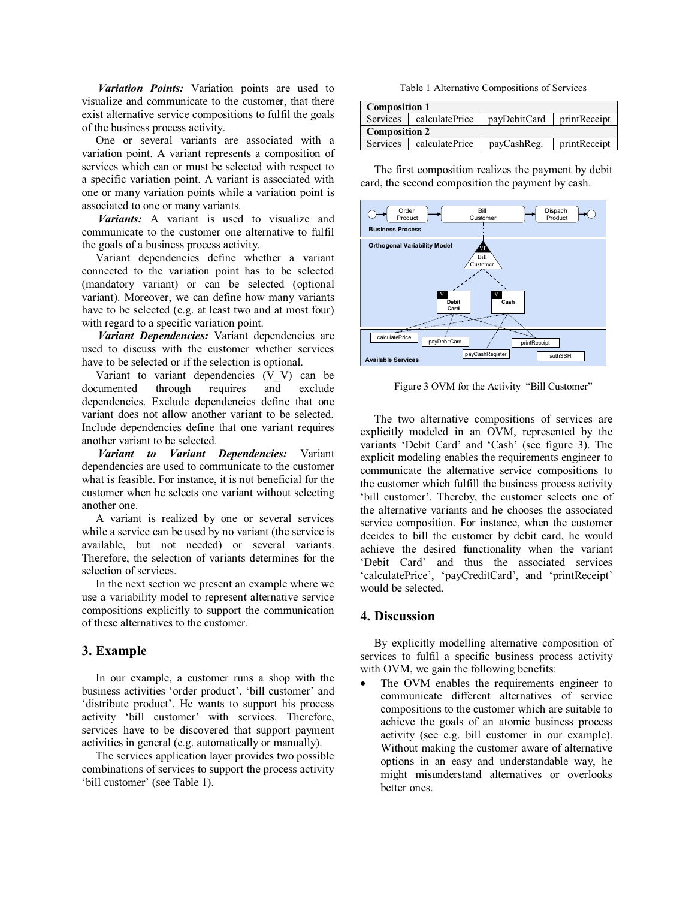*Variation Points:* Variation points are used to visualize and communicate to the customer, that there exist alternative service compositions to fulfil the goals of the business process activity.

One or several variants are associated with a variation point. A variant represents a composition of services which can or must be selected with respect to a specific variation point. A variant is associated with one or many variation points while a variation point is associated to one or many variants.

*Variants:* A variant is used to visualize and communicate to the customer one alternative to fulfil the goals of a business process activity.

Variant dependencies define whether a variant connected to the variation point has to be selected (mandatory variant) or can be selected (optional variant). Moreover, we can define how many variants have to be selected (e.g. at least two and at most four) with regard to a specific variation point.

*Variant Dependencies:* Variant dependencies are used to discuss with the customer whether services have to be selected or if the selection is optional.

Variant to variant dependencies (V\_V) can be documented through requires and exclude dependencies. Exclude dependencies define that one variant does not allow another variant to be selected. Include dependencies define that one variant requires another variant to be selected.

*Variant to Variant Dependencies:* Variant dependencies are used to communicate to the customer what is feasible. For instance, it is not beneficial for the customer when he selects one variant without selecting another one.

A variant is realized by one or several services while a service can be used by no variant (the service is available, but not needed) or several variants. Therefore, the selection of variants determines for the selection of services.

In the next section we present an example where we use a variability model to represent alternative service compositions explicitly to support the communication of these alternatives to the customer.

#### **3. Example**

In our example, a customer runs a shop with the business activities 'order product', 'bill customer' and 'distribute product'. He wants to support his process activity 'bill customer' with services. Therefore, services have to be discovered that support payment activities in general (e.g. automatically or manually).

The services application layer provides two possible combinations of services to support the process activity 'bill customer' (see Table 1).

Table 1 Alternative Compositions of Services

| <b>Composition 1</b> |                           |                             |              |
|----------------------|---------------------------|-----------------------------|--------------|
|                      | Services   calculatePrice | payDebitCard   printReceipt |              |
| <b>Composition 2</b> |                           |                             |              |
|                      | Services   calculatePrice | payCashReg.                 | printReceipt |

The first composition realizes the payment by debit card, the second composition the payment by cash.



Figure 3 OVM for the Activity "Bill Customer"

The two alternative compositions of services are explicitly modeled in an OVM, represented by the variants 'Debit Card' and 'Cash' (see figure 3). The explicit modeling enables the requirements engineer to communicate the alternative service compositions to the customer which fulfill the business process activity 'bill customer'. Thereby, the customer selects one of the alternative variants and he chooses the associated service composition. For instance, when the customer decides to bill the customer by debit card, he would achieve the desired functionality when the variant 'Debit Card' and thus the associated services 'calculatePrice', 'payCreditCard', and 'printReceipt' would be selected.

#### **4. Discussion**

By explicitly modelling alternative composition of services to fulfil a specific business process activity with OVM, we gain the following benefits:

The OVM enables the requirements engineer to communicate different alternatives of service compositions to the customer which are suitable to achieve the goals of an atomic business process activity (see e.g. bill customer in our example). Without making the customer aware of alternative options in an easy and understandable way, he might misunderstand alternatives or overlooks better ones.